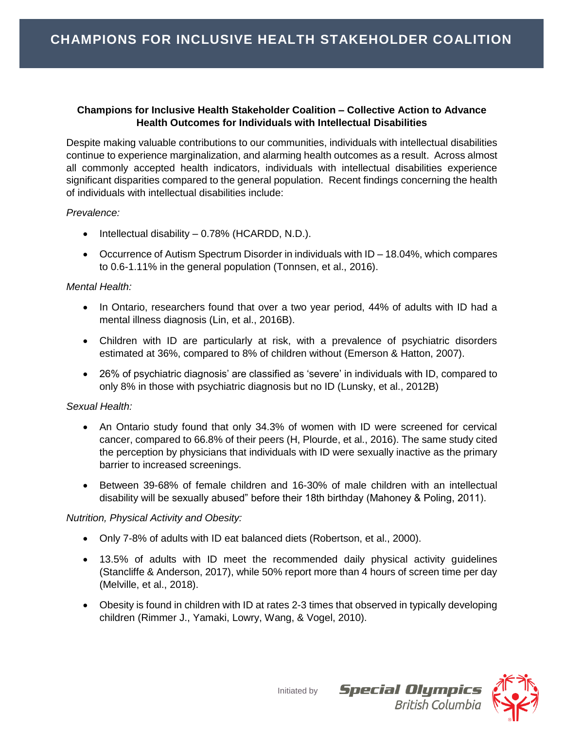### **Champions for Inclusive Health Stakeholder Coalition – Collective Action to Advance Health Outcomes for Individuals with Intellectual Disabilities**

Despite making valuable contributions to our communities, individuals with intellectual disabilities continue to experience marginalization, and alarming health outcomes as a result. Across almost all commonly accepted health indicators, individuals with intellectual disabilities experience significant disparities compared to the general population. Recent findings concerning the health of individuals with intellectual disabilities include:

### *Prevalence:*

- $\bullet$  Intellectual disability 0.78% (HCARDD, N.D.).
- Occurrence of Autism Spectrum Disorder in individuals with ID 18.04%, which compares to 0.6-1.11% in the general population (Tonnsen, et al., 2016).

## *Mental Health:*

- In Ontario, researchers found that over a two year period, 44% of adults with ID had a mental illness diagnosis (Lin, et al., 2016B).
- Children with ID are particularly at risk, with a prevalence of psychiatric disorders estimated at 36%, compared to 8% of children without (Emerson & Hatton, 2007).
- 26% of psychiatric diagnosis' are classified as 'severe' in individuals with ID, compared to only 8% in those with psychiatric diagnosis but no ID (Lunsky, et al., 2012B)

### *Sexual Health:*

- An Ontario study found that only 34.3% of women with ID were screened for cervical cancer, compared to 66.8% of their peers (H, Plourde, et al., 2016). The same study cited the perception by physicians that individuals with ID were sexually inactive as the primary barrier to increased screenings.
- Between 39-68% of female children and 16-30% of male children with an intellectual disability will be sexually abused" before their 18th birthday (Mahoney & Poling, 2011).

# *Nutrition, Physical Activity and Obesity:*

- Only 7-8% of adults with ID eat balanced diets (Robertson, et al., 2000).
- 13.5% of adults with ID meet the recommended daily physical activity guidelines (Stancliffe & Anderson, 2017), while 50% report more than 4 hours of screen time per day (Melville, et al., 2018).
- Obesity is found in children with ID at rates 2-3 times that observed in typically developing children (Rimmer J., Yamaki, Lowry, Wang, & Vogel, 2010).



**Special Olympics**<br>British Columbia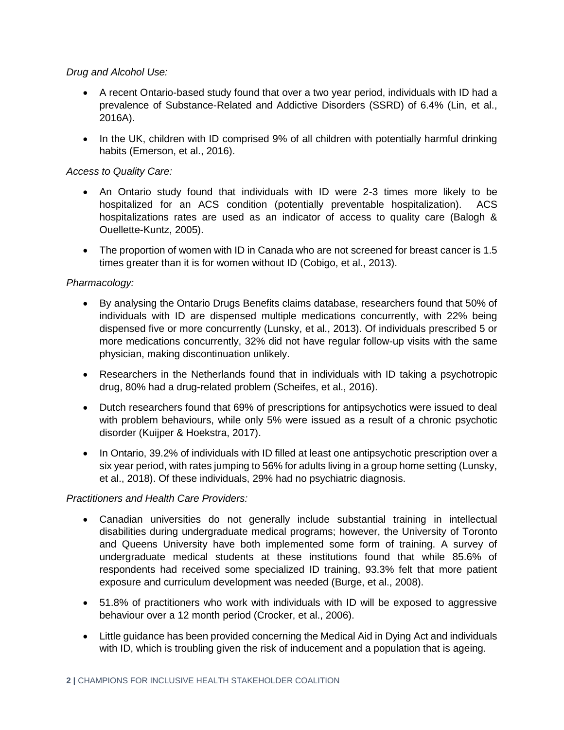### *Drug and Alcohol Use:*

- A recent Ontario-based study found that over a two year period, individuals with ID had a prevalence of Substance-Related and Addictive Disorders (SSRD) of 6.4% (Lin, et al., 2016A).
- In the UK, children with ID comprised 9% of all children with potentially harmful drinking habits (Emerson, et al., 2016).

### *Access to Quality Care:*

- An Ontario study found that individuals with ID were 2-3 times more likely to be hospitalized for an ACS condition (potentially preventable hospitalization). ACS hospitalizations rates are used as an indicator of access to quality care (Balogh & Ouellette-Kuntz, 2005).
- The proportion of women with ID in Canada who are not screened for breast cancer is 1.5 times greater than it is for women without ID (Cobigo, et al., 2013).

### *Pharmacology:*

- By analysing the Ontario Drugs Benefits claims database, researchers found that 50% of individuals with ID are dispensed multiple medications concurrently, with 22% being dispensed five or more concurrently (Lunsky, et al., 2013). Of individuals prescribed 5 or more medications concurrently, 32% did not have regular follow-up visits with the same physician, making discontinuation unlikely.
- Researchers in the Netherlands found that in individuals with ID taking a psychotropic drug, 80% had a drug-related problem (Scheifes, et al., 2016).
- Dutch researchers found that 69% of prescriptions for antipsychotics were issued to deal with problem behaviours, while only 5% were issued as a result of a chronic psychotic disorder (Kuijper & Hoekstra, 2017).
- In Ontario, 39.2% of individuals with ID filled at least one antipsychotic prescription over a six year period, with rates jumping to 56% for adults living in a group home setting (Lunsky, et al., 2018). Of these individuals, 29% had no psychiatric diagnosis.

### *Practitioners and Health Care Providers:*

- Canadian universities do not generally include substantial training in intellectual disabilities during undergraduate medical programs; however, the University of Toronto and Queens University have both implemented some form of training. A survey of undergraduate medical students at these institutions found that while 85.6% of respondents had received some specialized ID training, 93.3% felt that more patient exposure and curriculum development was needed (Burge, et al., 2008).
- 51.8% of practitioners who work with individuals with ID will be exposed to aggressive behaviour over a 12 month period (Crocker, et al., 2006).
- Little guidance has been provided concerning the Medical Aid in Dying Act and individuals with ID, which is troubling given the risk of inducement and a population that is ageing.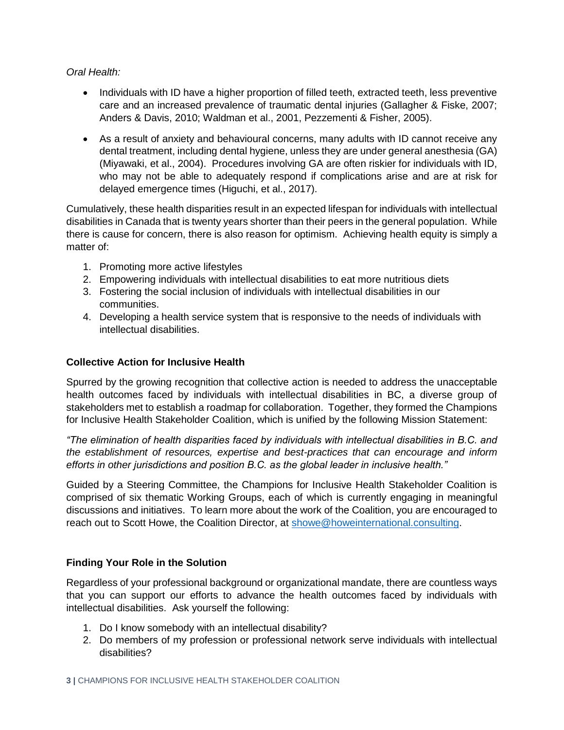### *Oral Health:*

- Individuals with ID have a higher proportion of filled teeth, extracted teeth, less preventive care and an increased prevalence of traumatic dental injuries (Gallagher & Fiske, 2007; Anders & Davis, 2010; Waldman et al., 2001, Pezzementi & Fisher, 2005).
- As a result of anxiety and behavioural concerns, many adults with ID cannot receive any dental treatment, including dental hygiene, unless they are under general anesthesia (GA) (Miyawaki, et al., 2004). Procedures involving GA are often riskier for individuals with ID, who may not be able to adequately respond if complications arise and are at risk for delayed emergence times (Higuchi, et al., 2017).

Cumulatively, these health disparities result in an expected lifespan for individuals with intellectual disabilities in Canada that is twenty years shorter than their peers in the general population. While there is cause for concern, there is also reason for optimism. Achieving health equity is simply a matter of:

- 1. Promoting more active lifestyles
- 2. Empowering individuals with intellectual disabilities to eat more nutritious diets
- 3. Fostering the social inclusion of individuals with intellectual disabilities in our communities.
- 4. Developing a health service system that is responsive to the needs of individuals with intellectual disabilities.

## **Collective Action for Inclusive Health**

Spurred by the growing recognition that collective action is needed to address the unacceptable health outcomes faced by individuals with intellectual disabilities in BC, a diverse group of stakeholders met to establish a roadmap for collaboration. Together, they formed the Champions for Inclusive Health Stakeholder Coalition, which is unified by the following Mission Statement:

*"The elimination of health disparities faced by individuals with intellectual disabilities in B.C. and the establishment of resources, expertise and best-practices that can encourage and inform efforts in other jurisdictions and position B.C. as the global leader in inclusive health."*

Guided by a Steering Committee, the Champions for Inclusive Health Stakeholder Coalition is comprised of six thematic Working Groups, each of which is currently engaging in meaningful discussions and initiatives. To learn more about the work of the Coalition, you are encouraged to reach out to Scott Howe, the Coalition Director, at [showe@howeinternational.consulting.](mailto:showe@howeinternational.consulting)

# **Finding Your Role in the Solution**

Regardless of your professional background or organizational mandate, there are countless ways that you can support our efforts to advance the health outcomes faced by individuals with intellectual disabilities. Ask yourself the following:

- 1. Do I know somebody with an intellectual disability?
- 2. Do members of my profession or professional network serve individuals with intellectual disabilities?